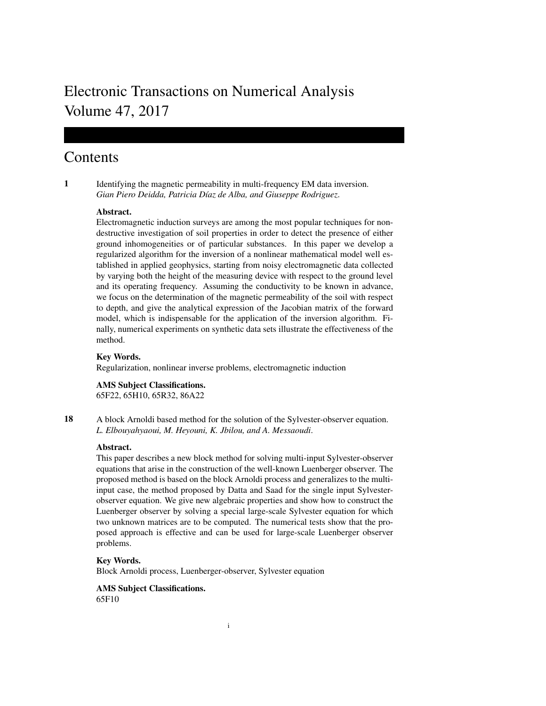# Electronic Transactions on Numerical Analysis Volume 47, 2017

## Contents

1 Identifying the magnetic permeability in multi-frequency EM data inversion. *Gian Piero Deidda, Patricia D´ıaz de Alba, and Giuseppe Rodriguez*.

## Abstract.

Electromagnetic induction surveys are among the most popular techniques for nondestructive investigation of soil properties in order to detect the presence of either ground inhomogeneities or of particular substances. In this paper we develop a regularized algorithm for the inversion of a nonlinear mathematical model well established in applied geophysics, starting from noisy electromagnetic data collected by varying both the height of the measuring device with respect to the ground level and its operating frequency. Assuming the conductivity to be known in advance, we focus on the determination of the magnetic permeability of the soil with respect to depth, and give the analytical expression of the Jacobian matrix of the forward model, which is indispensable for the application of the inversion algorithm. Finally, numerical experiments on synthetic data sets illustrate the effectiveness of the method.

## Key Words.

Regularization, nonlinear inverse problems, electromagnetic induction

## AMS Subject Classifications.

65F22, 65H10, 65R32, 86A22

18 A block Arnoldi based method for the solution of the Sylvester-observer equation. *L. Elbouyahyaoui, M. Heyouni, K. Jbilou, and A. Messaoudi*.

## Abstract.

This paper describes a new block method for solving multi-input Sylvester-observer equations that arise in the construction of the well-known Luenberger observer. The proposed method is based on the block Arnoldi process and generalizes to the multiinput case, the method proposed by Datta and Saad for the single input Sylvesterobserver equation. We give new algebraic properties and show how to construct the Luenberger observer by solving a special large-scale Sylvester equation for which two unknown matrices are to be computed. The numerical tests show that the proposed approach is effective and can be used for large-scale Luenberger observer problems.

#### Key Words.

Block Arnoldi process, Luenberger-observer, Sylvester equation

## AMS Subject Classifications.

65F10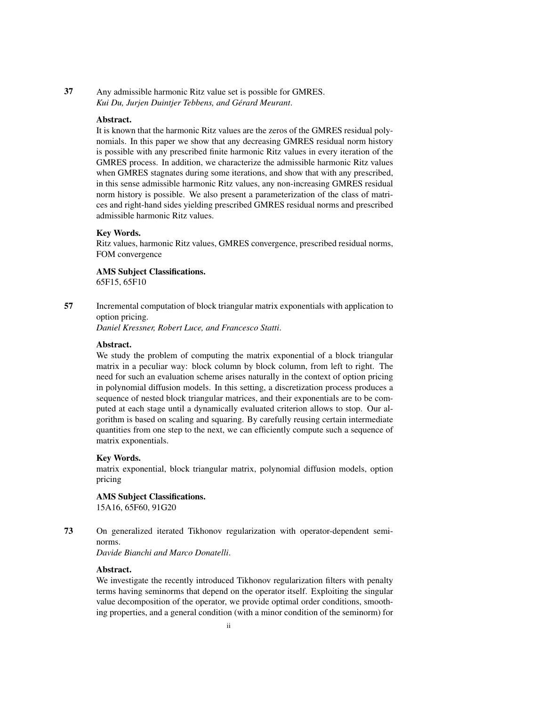37 Any admissible harmonic Ritz value set is possible for GMRES. *Kui Du, Jurjen Duintjer Tebbens, and Gerard Meurant ´* .

#### Abstract.

It is known that the harmonic Ritz values are the zeros of the GMRES residual polynomials. In this paper we show that any decreasing GMRES residual norm history is possible with any prescribed finite harmonic Ritz values in every iteration of the GMRES process. In addition, we characterize the admissible harmonic Ritz values when GMRES stagnates during some iterations, and show that with any prescribed, in this sense admissible harmonic Ritz values, any non-increasing GMRES residual norm history is possible. We also present a parameterization of the class of matrices and right-hand sides yielding prescribed GMRES residual norms and prescribed admissible harmonic Ritz values.

#### Key Words.

Ritz values, harmonic Ritz values, GMRES convergence, prescribed residual norms, FOM convergence

AMS Subject Classifications.

65F15, 65F10

57 Incremental computation of block triangular matrix exponentials with application to option pricing.

*Daniel Kressner, Robert Luce, and Francesco Statti*.

#### Abstract.

We study the problem of computing the matrix exponential of a block triangular matrix in a peculiar way: block column by block column, from left to right. The need for such an evaluation scheme arises naturally in the context of option pricing in polynomial diffusion models. In this setting, a discretization process produces a sequence of nested block triangular matrices, and their exponentials are to be computed at each stage until a dynamically evaluated criterion allows to stop. Our algorithm is based on scaling and squaring. By carefully reusing certain intermediate quantities from one step to the next, we can efficiently compute such a sequence of matrix exponentials.

#### Key Words.

matrix exponential, block triangular matrix, polynomial diffusion models, option pricing

#### AMS Subject Classifications.

15A16, 65F60, 91G20

73 On generalized iterated Tikhonov regularization with operator-dependent seminorms.

*Davide Bianchi and Marco Donatelli*.

#### Abstract.

We investigate the recently introduced Tikhonov regularization filters with penalty terms having seminorms that depend on the operator itself. Exploiting the singular value decomposition of the operator, we provide optimal order conditions, smoothing properties, and a general condition (with a minor condition of the seminorm) for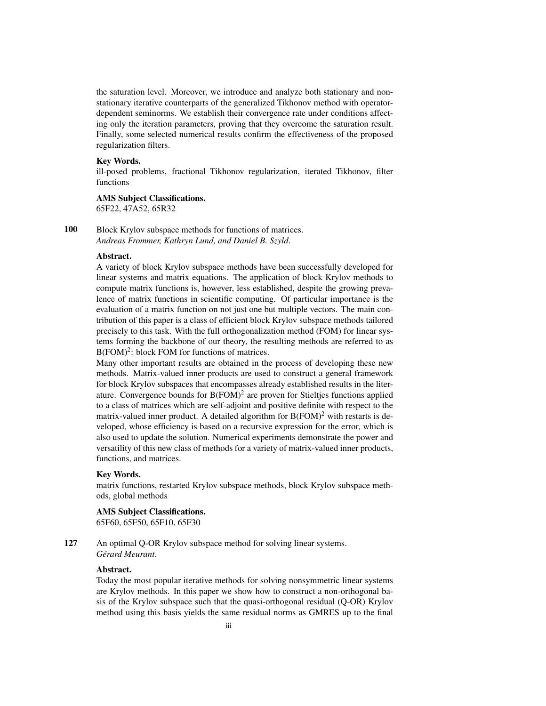the saturation level. Moreover, we introduce and analyze both stationary and nonstationary iterative counterparts of the generalized Tikhonov method with operatordependent seminorms. We establish their convergence rate under conditions affecting only the iteration parameters, proving that they overcome the saturation result. Finally, some selected numerical results confirm the effectiveness of the proposed regularization filters.

## Key Words.

ill-posed problems, fractional Tikhonov regularization, iterated Tikhonov, filter functions

#### AMS Subject Classifications.

65F22, 47A52, 65R32

100 Block Krylov subspace methods for functions of matrices. *Andreas Frommer, Kathryn Lund, and Daniel B. Szyld*.

## Abstract.

A variety of block Krylov subspace methods have been successfully developed for linear systems and matrix equations. The application of block Krylov methods to compute matrix functions is, however, less established, despite the growing prevalence of matrix functions in scientific computing. Of particular importance is the evaluation of a matrix function on not just one but multiple vectors. The main contribution of this paper is a class of efficient block Krylov subspace methods tailored precisely to this task. With the full orthogonalization method (FOM) for linear systems forming the backbone of our theory, the resulting methods are referred to as B(FOM)<sup>2</sup>: block FOM for functions of matrices.

Many other important results are obtained in the process of developing these new methods. Matrix-valued inner products are used to construct a general framework for block Krylov subspaces that encompasses already established results in the literature. Convergence bounds for  $B(FOM)^2$  are proven for Stieltjes functions applied to a class of matrices which are self-adjoint and positive definite with respect to the matrix-valued inner product. A detailed algorithm for  $B(FOM)^2$  with restarts is developed, whose efficiency is based on a recursive expression for the error, which is also used to update the solution. Numerical experiments demonstrate the power and versatility of this new class of methods for a variety of matrix-valued inner products, functions, and matrices.

#### Key Words.

matrix functions, restarted Krylov subspace methods, block Krylov subspace methods, global methods

#### AMS Subject Classifications.

65F60, 65F50, 65F10, 65F30

127 An optimal Q-OR Krylov subspace method for solving linear systems.  $Gé \nland \nM$ eurant.

#### Abstract.

Today the most popular iterative methods for solving nonsymmetric linear systems are Krylov methods. In this paper we show how to construct a non-orthogonal basis of the Krylov subspace such that the quasi-orthogonal residual (Q-OR) Krylov method using this basis yields the same residual norms as GMRES up to the final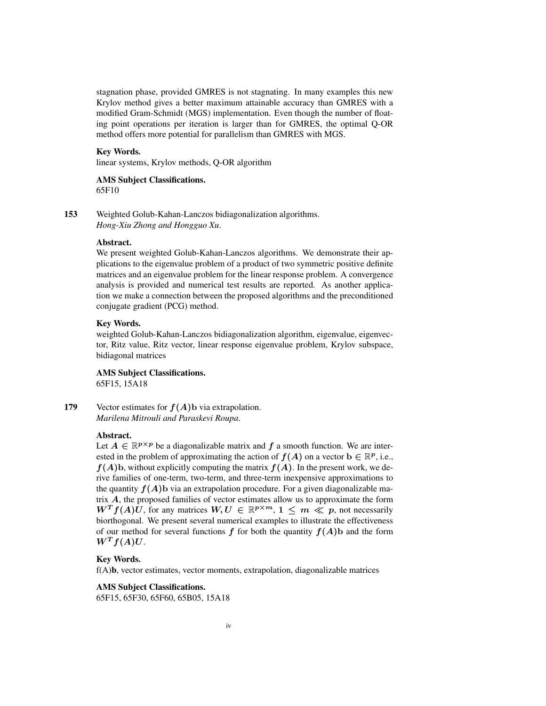stagnation phase, provided GMRES is not stagnating. In many examples this new Krylov method gives a better maximum attainable accuracy than GMRES with a modified Gram-Schmidt (MGS) implementation. Even though the number of floating point operations per iteration is larger than for GMRES, the optimal Q-OR method offers more potential for parallelism than GMRES with MGS.

## Key Words.

linear systems, Krylov methods, Q-OR algorithm

#### AMS Subject Classifications. 65F10

153 Weighted Golub-Kahan-Lanczos bidiagonalization algorithms. *Hong-Xiu Zhong and Hongguo Xu*.

#### Abstract.

We present weighted Golub-Kahan-Lanczos algorithms. We demonstrate their applications to the eigenvalue problem of a product of two symmetric positive definite matrices and an eigenvalue problem for the linear response problem. A convergence analysis is provided and numerical test results are reported. As another application we make a connection between the proposed algorithms and the preconditioned conjugate gradient (PCG) method.

#### Key Words.

weighted Golub-Kahan-Lanczos bidiagonalization algorithm, eigenvalue, eigenvector, Ritz value, Ritz vector, linear response eigenvalue problem, Krylov subspace, bidiagonal matrices

AMS Subject Classifications. 65F15, 15A18

179 Vector estimates for  $f(A)$ b via extrapolation. *Marilena Mitrouli and Paraskevi Roupa*.

## Abstract.

Let  $A \in \mathbb{R}^{p \times p}$  be a diagonalizable matrix and  $f$  a smooth function. We are interested in the problem of approximating the action of  $f(A)$  on a vector  $b \in \mathbb{R}^p$ , i.e.,  $f(A)$ b, without explicitly computing the matrix  $f(A)$ . In the present work, we derive families of one-term, two-term, and three-term inexpensive approximations to the quantity  $f(A)$ b via an extrapolation procedure. For a given diagonalizable matrix  $A$ , the proposed families of vector estimates allow us to approximate the form  $W^T f(A) U$ , for any matrices  $W, U \in \mathbb{R}^{p \times m}$ ,  $1 \leq m \ll p$ , not necessarily biorthogonal. We present several numerical examples to illustrate the effectiveness of our method for several functions  $f$  for both the quantity  $f(A)$  and the form  $W^T f(A) U$ .

## Key Words.

f(A)b, vector estimates, vector moments, extrapolation, diagonalizable matrices

### AMS Subject Classifications.

65F15, 65F30, 65F60, 65B05, 15A18